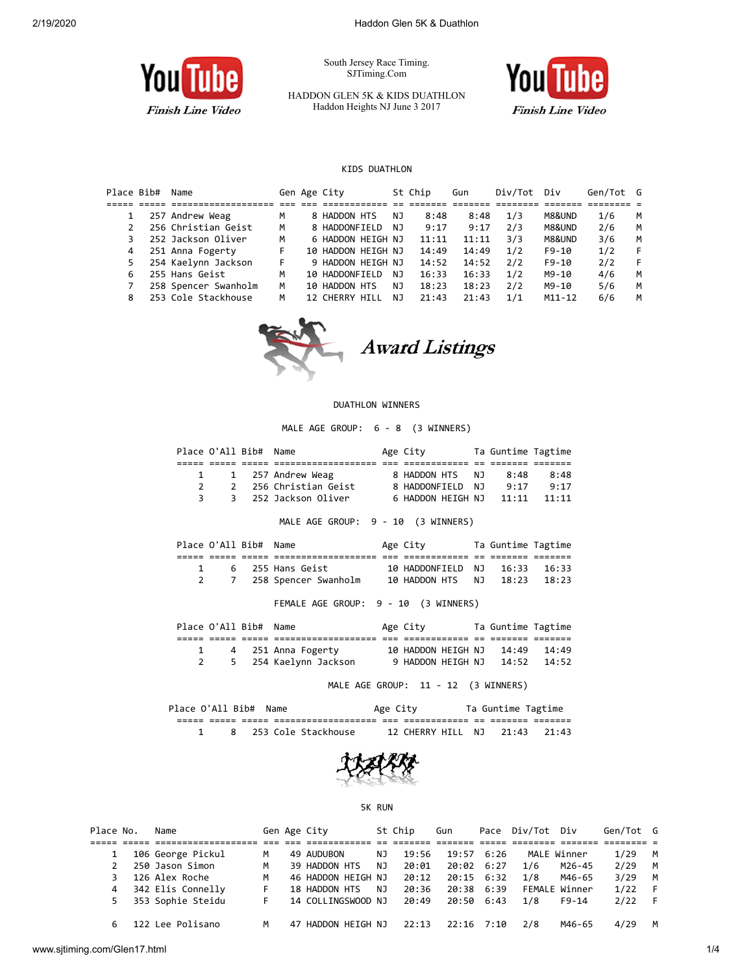

South Jersey Race Timing. SJTiming.Com

HADDON GLEN 5K & KIDS DUATHLON Haddon Heights NJ June 3 2017



### KIDS DUATHLON

| Place Bib# | Name                 |   | Gen Age City             |     | St Chip | Gun   | Div/Tot | Div        | Gen/Tot G |   |
|------------|----------------------|---|--------------------------|-----|---------|-------|---------|------------|-----------|---|
|            |                      |   |                          |     |         |       |         |            |           |   |
|            | 257 Andrew Weag      | M | 8 HADDON HTS             | NJ. | 8:48    | 8:48  | 1/3     | M8&UND     | 1/6       | M |
|            | 256 Christian Geist  | M | 8 HADDONFIELD            | NJ. | 9:17    | 9:17  | 2/3     | M8&UND     | 2/6       | M |
|            | 252 Jackson Oliver   | M | 6 HADDON HEIGH NJ        |     | 11:11   | 11:11 | 3/3     | M8&UND     | 3/6       | M |
| 4          | 251 Anna Fogerty     | F | 10 HADDON HEIGH NJ       |     | 14:49   | 14:49 | 1/2     | $F9-10$    | 1/2       |   |
|            | 254 Kaelynn Jackson  | F | 9 HADDON HEIGH NJ        |     | 14:52   | 14:52 | 2/2     | $F9-10$    | 2/2       | F |
| 6          | 255 Hans Geist       | м | 10 HADDONFIELD           | NJ. | 16:33   | 16:33 | 1/2     | M9-10      | 4/6       | M |
|            | 258 Spencer Swanholm | M | 10 HADDON HTS            | NJ. | 18:23   | 18:23 | 2/2     | M9-10      | 5/6       | M |
| 8          | 253 Cole Stackhouse  | M | 12 CHERRY<br><b>HTII</b> | NJ. | 21:43   | 21:43 | 1/1     | $M11 - 12$ | 6/6       | м |



### DUATHLON WINNERS

MALE AGE GROUP: 6 - 8 (3 WINNERS)

|               | Place O'All Bib# Name |                       | Age City                | Ta Guntime Tagtime |          |  |
|---------------|-----------------------|-----------------------|-------------------------|--------------------|----------|--|
|               |                       |                       |                         |                    |          |  |
|               |                       | 1 1 257 Andrew Weag   | 8 HADDON HTS NJ         | 8:48               | 8:48     |  |
| $\mathcal{P}$ |                       | 2 256 Christian Geist | 8 HADDONFIELD NJ        | 9.17               | 9:17     |  |
|               | 3                     | 3 252 Jackson Oliver  | 6 HADDON HEIGH NJ 11:11 |                    | $-11:11$ |  |

MALE AGE GROUP: 9 - 10 (3 WINNERS)

|  | Place O'All Bib# Name |                          | Age City                      | Ta Guntime Tagtime |  |
|--|-----------------------|--------------------------|-------------------------------|--------------------|--|
|  |                       |                          |                               |                    |  |
|  |                       | 6   255 Hans Geist       | 10 HADDONFIELD NJ 16:33 16:33 |                    |  |
|  |                       | 2 7 258 Spencer Swanholm | 10 HADDON HTS NJ 18:23 18:23  |                    |  |

FEMALE AGE GROUP: 9 - 10 (3 WINNERS)

|  | Place O'All Bib# Name |                         | Age City                       | Ta Guntime Tagtime |  |
|--|-----------------------|-------------------------|--------------------------------|--------------------|--|
|  |                       |                         |                                |                    |  |
|  |                       | 4 251 Anna Fogerty      | 10 HADDON HEIGH NJ 14:49 14:49 |                    |  |
|  |                       | 2 5 254 Kaelynn Jackson | 9 HADDON HEIGH NJ 14:52 14:52  |                    |  |

MALE AGE GROUP: 11 - 12 (3 WINNERS)

| Place O'All Bib# Name |  |                     | Age City |                         | Ta Guntime Tagtime |         |  |
|-----------------------|--|---------------------|----------|-------------------------|--------------------|---------|--|
|                       |  |                     | ___      |                         |                    |         |  |
|                       |  | 253 Cole Stackhouse |          | 12 CHERRY HILL NJ 21:43 |                    | - 21:43 |  |



#### 5K RUN

| Place No. | Name              |   | Gen Age City       |    | St Chip | Gun          |              | Pace Div/Tot | Div           | Gen/Tot G |   |
|-----------|-------------------|---|--------------------|----|---------|--------------|--------------|--------------|---------------|-----------|---|
|           |                   |   |                    |    |         |              |              |              |               |           |   |
|           | 106 George Pickul | м | 49 AUDUBON         | NJ | 19:56   |              | $19:57$ 6:26 |              | MALE Winner   | 1/29      | M |
|           | 250 Jason Simon   | м | 39 HADDON HTS      | NJ | 20:01   | 20:02 6:27   |              | 1/6          | M26-45        | 2/29      | M |
|           | 126 Alex Roche    | м | 46 HADDON HEIGH NJ |    | 20:12   |              | $20:15$ 6:32 | 1/8          | M46-65        | 3/29      | M |
| 4         | 342 Elis Connelly |   | 18 HADDON HTS      | NJ | 20:36   |              | 20:38 6:39   |              | FEMALE Winner | 1/22      |   |
| 5.        | 353 Sophie Steidu |   | 14 COLLINGSWOOD NJ |    | 20:49   | 20:50 6:43   |              | 1/8          | $F9 - 14$     | 2/22      |   |
|           | 122 Lee Polisano  | м | 47 HADDON HEIGH NJ |    | 22:13   | $22:16$ 7:10 |              | 2/8          | M46-65        | 4/29      |   |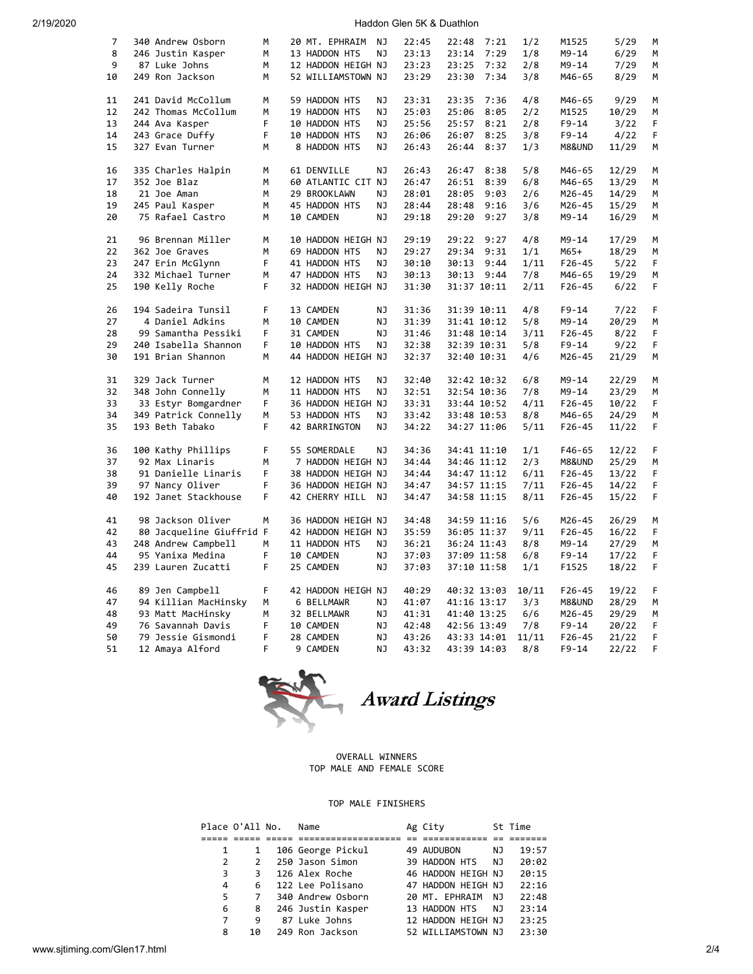2/19/2020 Haddon Glen 5K & Duathlon

| $\overline{7}$ | 340 Andrew Osborn        | м  | 20 MT. EPHRAIM     | NJ | 22:45 | 22:48       | 7:21 | 1/2   | M1525      | 5/29          | М  |
|----------------|--------------------------|----|--------------------|----|-------|-------------|------|-------|------------|---------------|----|
| 8              | 246 Justin Kasper        | M  | 13 HADDON HTS      | ΝJ | 23:13 | 23:14       | 7:29 | 1/8   | $M9 - 14$  | 6/29          | M  |
| 9              | 87 Luke Johns            | M  | 12 HADDON HEIGH NJ |    | 23:23 | 23:25       | 7:32 | 2/8   | M9-14      | 7/29          | M  |
| 10             | 249 Ron Jackson          | М  | 52 WILLIAMSTOWN NJ |    | 23:29 | 23:30 7:34  |      | 3/8   | M46-65     | 8/29          | М  |
|                |                          |    |                    |    |       |             |      |       |            |               |    |
| 11             | 241 David McCollum       | M  | 59 HADDON HTS      | NJ | 23:31 | 23:35       | 7:36 | 4/8   | M46-65     | 9/29          | M  |
| 12             | 242 Thomas McCollum      | M  | 19 HADDON HTS      | NJ | 25:03 | 25:06       | 8:05 | 2/2   | M1525      | 10/29         | M  |
| 13             | 244 Ava Kasper           | F  | 10 HADDON HTS      | NJ | 25:56 | 25:57       | 8:21 | 2/8   | F9-14      | 3/22          | F  |
| 14             | 243 Grace Duffy          | F  | 10 HADDON HTS      | NJ | 26:06 | 26:07       | 8:25 | 3/8   | $F9 - 14$  | 4/22          | F  |
| 15             | 327 Evan Turner          | М  | 8 HADDON HTS       | ΝJ | 26:43 | 26:44       | 8:37 | 1/3   | M8&UND     | 11/29         | M  |
|                |                          |    |                    |    |       |             |      |       |            |               |    |
| 16             | 335 Charles Halpin       | М  | 61 DENVILLE        | NJ | 26:43 | 26:47       | 8:38 | 5/8   | M46-65     | 12/29         | M  |
| 17             | 352 Joe Blaz             | M  | 60 ATLANTIC CIT NJ |    | 26:47 | 26:51       | 8:39 | 6/8   | M46-65     | 13/29         | М  |
| 18             | 21 Joe Aman              | M  | 29 BROOKLAWN       | NJ | 28:01 | 28:05       | 9:03 | 2/6   | M26-45     | 14/29         | М  |
| 19             | 245 Paul Kasper          | М  | 45 HADDON HTS      | ΝJ | 28:44 | 28:48       | 9:16 | 3/6   | M26-45     | 15/29         | М  |
| 20             | 75 Rafael Castro         | М  | 10 CAMDEN          | ΝJ | 29:18 | 29:20       | 9:27 | 3/8   | M9-14      | 16/29         | М  |
| 21             | 96 Brennan Miller        | м  | 10 HADDON HEIGH NJ |    | 29:19 | 29:22       | 9:27 | 4/8   | M9-14      | 17/29         | M  |
| 22             | 362 Joe Graves           | M  | 69 HADDON HTS      | NJ | 29:27 | 29:34       | 9:31 | 1/1   | M65+       | 18/29         | М  |
| 23             | 247 Erin McGlynn         | F  | 41 HADDON HTS      | NJ | 30:10 | 30:13       | 9:44 | 1/11  | F26-45     |               | F  |
| 24             | 332 Michael Turner       | М  | 47 HADDON HTS      | NJ | 30:13 | 30:13 9:44  |      | 7/8   | M46-65     | 5/22<br>19/29 | М  |
| 25             | 190 Kelly Roche          | F  |                    |    | 31:30 | 31:37 10:11 |      | 2/11  | $F26 - 45$ | 6/22          | F  |
|                |                          |    | 32 HADDON HEIGH NJ |    |       |             |      |       |            |               |    |
| 26             | 194 Sadeira Tunsil       | F  | 13 CAMDEN          | NJ | 31:36 | 31:39 10:11 |      | 4/8   | $F9 - 14$  | 7/22          | F  |
| 27             | 4 Daniel Adkins          | М  | 10 CAMDEN          | ΝJ | 31:39 | 31:41 10:12 |      | 5/8   | M9-14      | 20/29         | М  |
| 28             | 99 Samantha Pessiki      | F. | 31 CAMDEN          | NJ | 31:46 | 31:48 10:14 |      | 3/11  | $F26 - 45$ | 8/22          | F  |
| 29             | 240 Isabella Shannon     | F  | 10 HADDON HTS      | ΝJ | 32:38 | 32:39 10:31 |      | 5/8   | F9-14      | 9/22          | F  |
| 30             | 191 Brian Shannon        | М  | 44 HADDON HEIGH NJ |    | 32:37 | 32:40 10:31 |      | 4/6   | M26-45     | 21/29         | м  |
|                |                          |    |                    |    |       |             |      |       |            |               |    |
| 31             | 329 Jack Turner          | M  | 12 HADDON HTS      | NJ | 32:40 | 32:42 10:32 |      | 6/8   | M9-14      | 22/29         | М  |
| 32             | 348 John Connelly        | M  | 11 HADDON HTS      | NJ | 32:51 | 32:54 10:36 |      | 7/8   | M9-14      | 23/29         | M  |
| 33             | 33 Estyr Bomgardner      | F. | 36 HADDON HEIGH NJ |    | 33:31 | 33:44 10:52 |      | 4/11  | $F26 - 45$ | 10/22         | F. |
| 34             | 349 Patrick Connelly     | М  | 53 HADDON HTS      | ΝJ | 33:42 | 33:48 10:53 |      | 8/8   | M46-65     | 24/29         | M  |
| 35             | 193 Beth Tabako          | F. | 42 BARRINGTON      | NJ | 34:22 | 34:27 11:06 |      | 5/11  | $F26 - 45$ | 11/22         | F  |
|                |                          |    |                    |    |       |             |      |       |            |               |    |
| 36             | 100 Kathy Phillips       | F  | 55 SOMERDALE       | NJ | 34:36 | 34:41 11:10 |      | 1/1   | F46-65     | 12/22         | F  |
| 37             | 92 Max Linaris           | M  | 7 HADDON HEIGH NJ  |    | 34:44 | 34:46 11:12 |      | 2/3   | M8&UND     | 25/29         | М  |
| 38             | 91 Danielle Linaris      | F  | 38 HADDON HEIGH NJ |    | 34:44 | 34:47 11:12 |      | 6/11  | $F26 - 45$ | 13/22         | F  |
| 39             | 97 Nancy Oliver          | F  | 36 HADDON HEIGH NJ |    | 34:47 | 34:57 11:15 |      | 7/11  | F26-45     | 14/22         | F  |
| 40             | 192 Janet Stackhouse     | F. | 42 CHERRY HILL     | NJ | 34:47 | 34:58 11:15 |      | 8/11  | F26-45     | 15/22         | F. |
| 41             | 98 Jackson Oliver        | M  | 36 HADDON HEIGH NJ |    | 34:48 | 34:59 11:16 |      | 5/6   | M26-45     | 26/29         | M  |
| 42             | 80 Jacqueline Giuffrid F |    | 42 HADDON HEIGH NJ |    | 35:59 | 36:05 11:37 |      | 9/11  | F26-45     | 16/22         | F  |
| 43             | 248 Andrew Campbell      | м  | 11 HADDON HTS      | ΝJ | 36:21 | 36:24 11:43 |      | 8/8   | M9-14      | 27/29         | M  |
| 44             | 95 Yanixa Medina         | F  | 10 CAMDEN          | NJ | 37:03 | 37:09 11:58 |      | 6/8   | $F9 - 14$  | 17/22         | F  |
| 45             | 239 Lauren Zucatti       | F  | 25 CAMDEN          | NJ | 37:03 | 37:10 11:58 |      | 1/1   | F1525      | 18/22         | F  |
|                |                          |    |                    |    |       |             |      |       |            |               |    |
| 46             | 89 Jen Campbell          | F  | 42 HADDON HEIGH NJ |    | 40:29 | 40:32 13:03 |      | 10/11 | $F26 - 45$ | 19/22         | F  |
| 47             | 94 Killian MacHinsky     | М  | 6 BELLMAWR         | ΝJ | 41:07 | 41:16 13:17 |      | 3/3   | M8&UND     | 28/29         | М  |
| 48             | 93 Matt MacHinsky        | М  | 32 BELLMAWR        | ΝJ | 41:31 | 41:40 13:25 |      | 6/6   | M26-45     | 29/29         | М  |
| 49             | 76 Savannah Davis        | F  | 10 CAMDEN          | ΝJ | 42:48 | 42:56 13:49 |      | 7/8   | F9-14      | 20/22         | F  |
| 50             | 79 Jessie Gismondi       | F. | 28 CAMDEN          | NJ | 43:26 | 43:33 14:01 |      | 11/11 | F26-45     | 21/22         | F  |
| 51             | 12 Amaya Alford          | F. | 9 CAMDEN           | NJ | 43:32 | 43:39 14:03 |      | 8/8   | $F9 - 14$  | 22/22         | F  |



### OVERALL WINNERS TOP MALE AND FEMALE SCORE

# TOP MALE FINISHERS

| Place O'All No. |               | Name              | Ag City            |    | St Time |
|-----------------|---------------|-------------------|--------------------|----|---------|
|                 |               |                   |                    |    |         |
| 1               | 1             | 106 George Pickul | 49 AUDUBON         | NJ | 19:57   |
| 2               | $\mathcal{L}$ | 250 Jason Simon   | 39 HADDON HTS      | NJ | 20:02   |
| 3               | З             | 126 Alex Roche    | 46 HADDON HEIGH NJ |    | 20:15   |
| 4               | 6             | 122 Lee Polisano  | 47 HADDON HEIGH NJ |    | 22:16   |
| 5               | 7             | 340 Andrew Osborn | 20 MT. EPHRAIM     | NJ | 22:48   |
| 6               | 8             | 246 Justin Kasper | 13 HADDON HTS      | NJ | 23:14   |
| 7               | 9             | 87 Luke Johns     | 12 HADDON HEIGH NJ |    | 23:25   |
| 8               | 10            | 249 Ron Jackson   | 52 WILLIAMSTOWN NJ |    | 23:30   |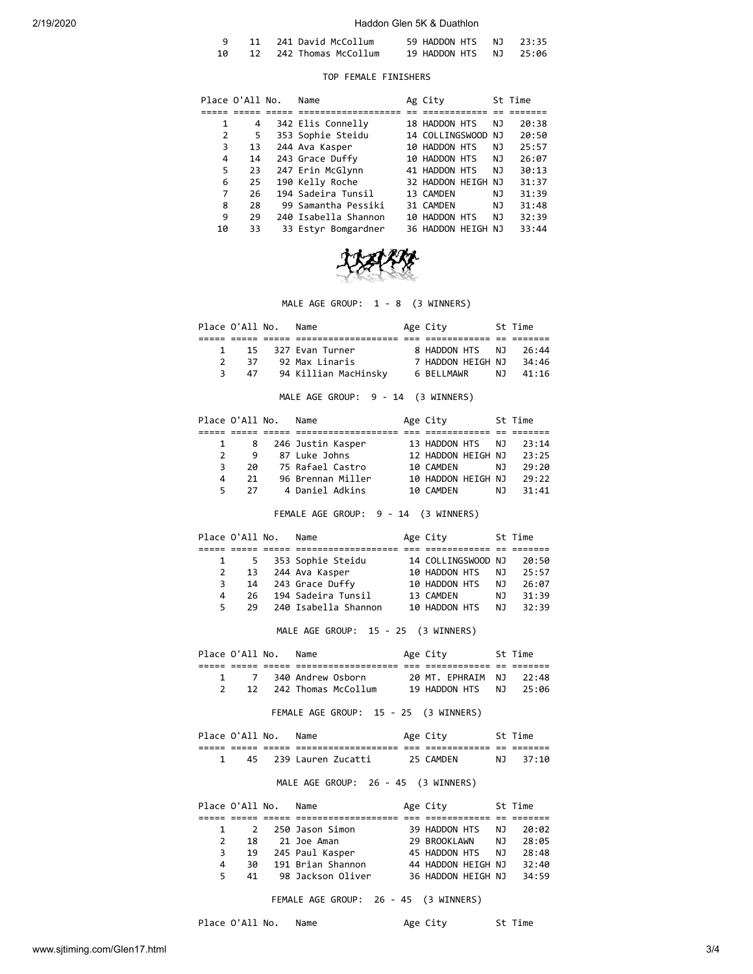### 2/19/2020 Haddon Glen 5K & Duathlon

|  | 11 241 David McCollum  | 59 HADDON HTS NJ 23:35 |  |
|--|------------------------|------------------------|--|
|  | 12 242 Thomas McCollum | 19 HADDON HTS NJ 25:06 |  |

## TOP FEMALE FINISHERS

|    | Place O'All No. | Name                 | Ag City            |    | St Time |
|----|-----------------|----------------------|--------------------|----|---------|
|    |                 |                      |                    |    |         |
| 1  | 4               | 342 Elis Connelly    | 18 HADDON HTS      | NJ | 20:38   |
| 2  | 5               | 353 Sophie Steidu    | 14 COLLINGSWOOD    | NJ | 20:50   |
| 3  | 13              | 244 Ava Kasper       | 10 HADDON HTS      | NJ | 25:57   |
| 4  | 14              | 243 Grace Duffy      | 10 HADDON HTS      | NJ | 26:07   |
| 5  | 23              | 247 Erin McGlynn     | 41 HADDON HTS      | NJ | 30:13   |
| 6  | 25              | 190 Kelly Roche      | 32 HADDON HEIGH NJ |    | 31:37   |
| 7  | 26              | 194 Sadeira Tunsil   | 13 CAMDEN          | NJ | 31:39   |
| 8  | 28              | 99 Samantha Pessiki  | 31 CAMDEN          | NJ | 31:48   |
| 9  | 29              | 240 Isabella Shannon | 10 HADDON HTS      | NJ | 32:39   |
| 10 | 33              | 33 Estyr Bomgardner  | 36 HADDON HEIGH NJ |    | 33:44   |



MALE AGE GROUP: 1 - 8 (3 WINNERS)

| Place O'All No. |    | Name                 | Age City          |      | St Time |  |
|-----------------|----|----------------------|-------------------|------|---------|--|
|                 |    |                      |                   |      |         |  |
|                 |    | 1 15 327 Evan Turner | 8 HADDON HTS NJ   |      | 26:44   |  |
|                 | 37 | 92 Max Linaris       | 7 HADDON HEIGH NJ |      | 34:46   |  |
| २               | 47 | 94 Killian MacHinsky | 6 BELLMAWR        | NJ 1 | 41:16   |  |
|                 |    |                      |                   |      |         |  |

MALE AGE GROUP: 9 - 14 (3 WINNERS)

|               | Place O'All No. | Name              | Age City           |     | St Time |
|---------------|-----------------|-------------------|--------------------|-----|---------|
|               |                 |                   |                    |     |         |
|               | 8               | 246 Justin Kasper | 13 HADDON HTS      | N J | 23:14   |
| $\mathcal{P}$ | q               | 87 Luke Johns     | 12 HADDON HEIGH NJ |     | 23:25   |
| 3.            | 2Q              | 75 Rafael Castro  | 10 CAMDEN          | N J | 29:20   |
| Δ             | 21              | 96 Brennan Miller | 10 HADDON HEIGH NJ |     | 29:22   |
| 5             | 27              | 4 Daniel Adkins   | 10 CAMDEN          | ΝJ  | 31:41   |

FEMALE AGE GROUP: 9 - 14 (3 WINNERS)

|    | Place O'All No. | Name                 | Age City           |     | St Time |
|----|-----------------|----------------------|--------------------|-----|---------|
|    |                 |                      |                    |     |         |
|    |                 | 5 353 Sophie Steidu  | 14 COLLINGSWOOD NJ |     | 20:50   |
|    |                 | 13 244 Ava Kasper    | 10 HADDON HTS      | NJ. | 25:57   |
| 3  |                 | 14 243 Grace Duffy   | 10 HADDON HTS      | N J | 26:07   |
| 4  | 26.             | 194 Sadeira Tunsil   | 13 CAMDEN          | N J | 31:39   |
| 5. | 29              | 240 Isabella Shannon | 10 HADDON HTS      | N٦  | 32:39   |

MALE AGE GROUP: 15 - 25 (3 WINNERS)

| Place O'All No. |                 | Name                | Age City          |             | St Time |
|-----------------|-----------------|---------------------|-------------------|-------------|---------|
|                 |                 |                     |                   |             |         |
|                 |                 | 340 Andrew Osborn   | 20 MT. EPHRAIM NJ |             | - 22:48 |
|                 | 12 <sup>7</sup> | 242 Thomas McCollum | 19 HADDON HTS     | . N . N . 1 | - 25:06 |

FEMALE AGE GROUP: 15 - 25 (3 WINNERS)

|      | Place O'All No. |       | Name               |     | Age City  |     | St Time |
|------|-----------------|-------|--------------------|-----|-----------|-----|---------|
| ____ | _____           | _____ |                    | ___ |           | $-$ | _______ |
|      | 45.             |       | 239 Lauren Zucatti |     | 25 CAMDEN | NJ. | -37:10  |

MALE AGE GROUP: 26 - 45 (3 WINNERS)

|               | Place O'All No. | Name              | Age City           |     | St Time |
|---------------|-----------------|-------------------|--------------------|-----|---------|
|               |                 |                   |                    |     |         |
|               |                 | 2 250 Jason Simon | 39 HADDON HTS      | NJ. | 20:02   |
| $\mathcal{P}$ | 18              | 21 Joe Aman       | 29 BROOKLAWN       | N J | 28:05   |
| 3             | 19              | 245 Paul Kasper   | 45 HADDON HTS      | NJ  | 28:48   |
| 4             | 30              | 191 Brian Shannon | 44 HADDON HEIGH NJ |     | 32:40   |
| 5.            | 41              | 98 Jackson Oliver | 36 HADDON HEIGH NJ |     | 34:59   |

FEMALE AGE GROUP: 26 - 45 (3 WINNERS)

Place O'All No. Name Mage City St Time